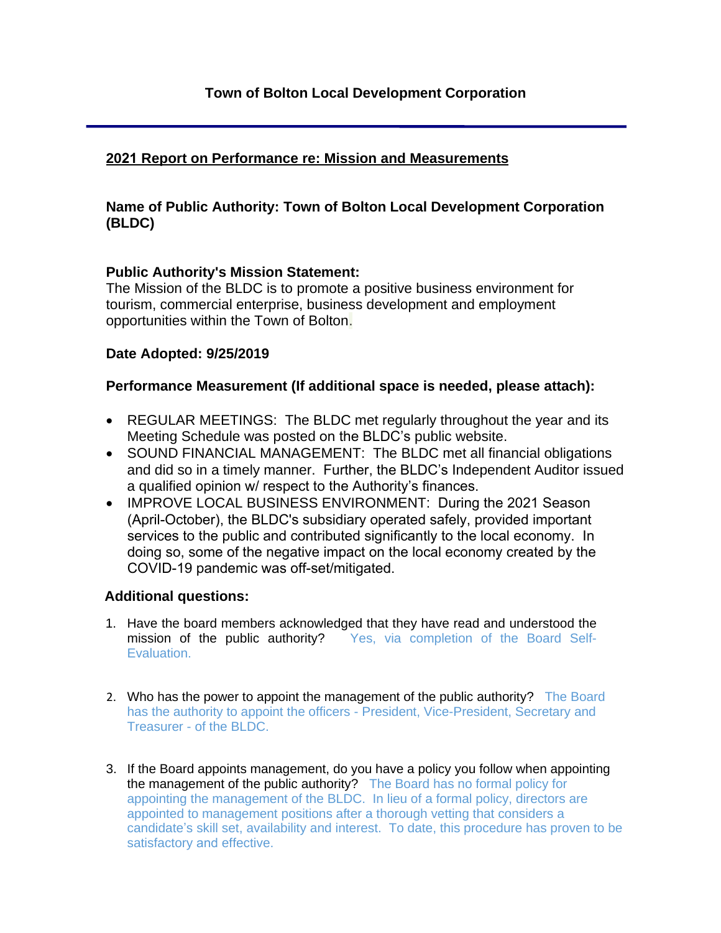# **2021 Report on Performance re: Mission and Measurements**

## **Name of Public Authority: Town of Bolton Local Development Corporation (BLDC)**

### **Public Authority's Mission Statement:**

The Mission of the BLDC is to promote a positive business environment for tourism, commercial enterprise, business development and employment opportunities within the Town of Bolton.

### **Date Adopted: 9/25/2019**

# **Performance Measurement (If additional space is needed, please attach):**

- REGULAR MEETINGS: The BLDC met regularly throughout the year and its Meeting Schedule was posted on the BLDC's public website.
- SOUND FINANCIAL MANAGEMENT: The BLDC met all financial obligations and did so in a timely manner. Further, the BLDC's Independent Auditor issued a qualified opinion w/ respect to the Authority's finances.
- IMPROVE LOCAL BUSINESS ENVIRONMENT: During the 2021 Season (April-October), the BLDC's subsidiary operated safely, provided important services to the public and contributed significantly to the local economy. In doing so, some of the negative impact on the local economy created by the COVID-19 pandemic was off-set/mitigated.

### **Additional questions:**

- 1. Have the board members acknowledged that they have read and understood the mission of the public authority? Yes, via completion of the Board Self-Evaluation.
- 2. Who has the power to appoint the management of the public authority? The Board has the authority to appoint the officers - President, Vice-President, Secretary and Treasurer - of the BLDC.
- 3. If the Board appoints management, do you have a policy you follow when appointing the management of the public authority? The Board has no formal policy for appointing the management of the BLDC. In lieu of a formal policy, directors are appointed to management positions after a thorough vetting that considers a candidate's skill set, availability and interest. To date, this procedure has proven to be satisfactory and effective.